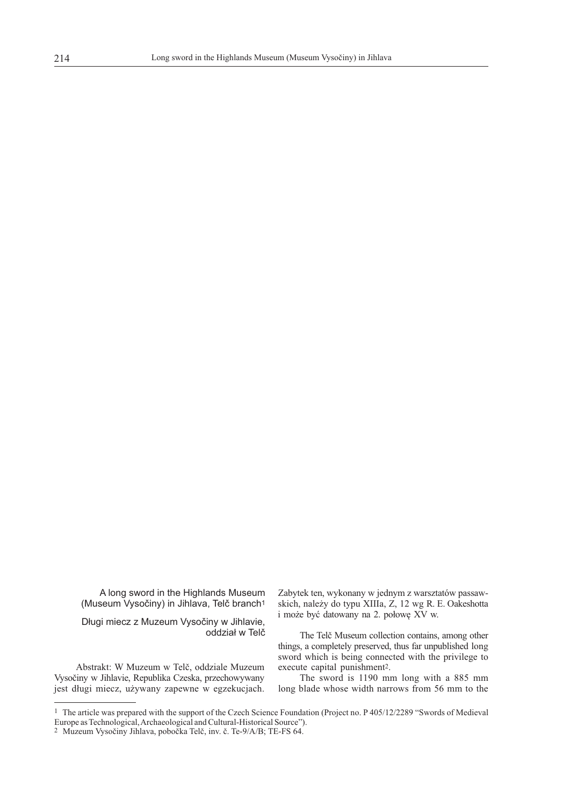A long sword in the Highlands Museum (Museum Vysočiny) in Jihlava, Telč branch<sup>1</sup>

Długi miecz z Muzeum Vysočiny w Jihlavie, oddział w Telč

Abstrakt: W Muzeum w Telč, oddziale Muzeum execute capital punishment2. Vysočiny w Jihlavie, Republika Czeska, przechowywany The sword is 1190 mm long with a 885 mm jest długi miecz, używany zapewne w egzekucjach.

Zabytek ten, wykonany w jednym z warsztatów passawskich, należy do typu XIIIa, Z, 12 wg R. E. Oakeshotta i może być datowany na 2. połowę XV w.

The Telč Museum collection contains, among other things, a completely preserved, thus far unpublished long sword which is being connected with the privilege to

<sup>&</sup>lt;sup>1</sup> The article was prepared with the support of the Czech Science Foundation (Project no. P 405/12/2289 "Swords of Medieval Europe as Technological, Archaeological and Cultural-Historical Source").

<sup>2</sup> Muzeum Vysočiny Jihlava, pobočka Telč, inv. č. Te-9/A/B; TE-FS 64.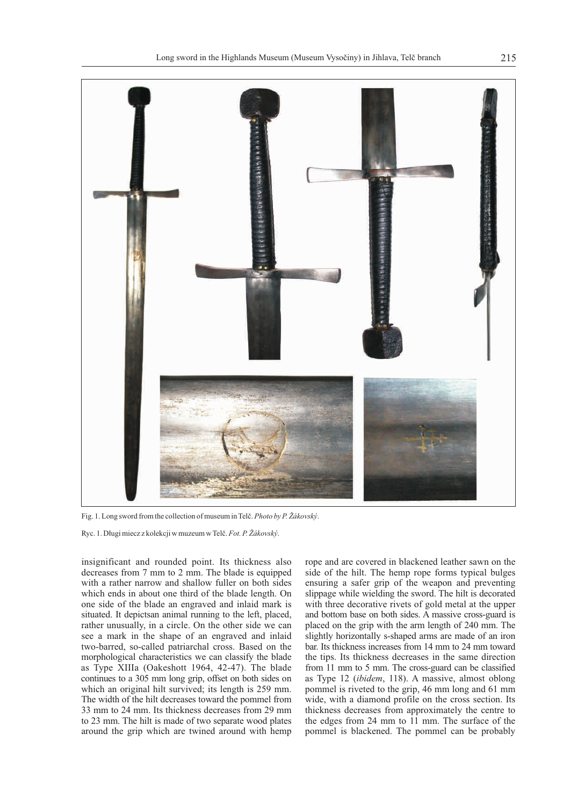

Fig. 1. Long sword from the collection of museum in Telč. *Photo by P. Žákovský*.

Ryc. 1. Długi miecz z kolekcji w muzeum w Telč.*Fot. P. Žákovský*.

decreases from 7 mm to 2 mm. The blade is equipped side of the hilt. The hemp rope forms typical bulges with a rather narrow and shallow fuller on both sides ensuring a safer grip of the weapon and preventing which ends in about one third of the blade length. On slippage while wielding the sword. The hilt is decorated one side of the blade an engraved and inlaid mark is with three decorative rivets of gold metal at the upper situated. It depictsan animal running to the left, placed, and bottom base on both sides. A massive cross-guard is rather unusually, in a circle. On the other side we can placed on the grip with the arm length of 240 mm. The see a mark in the shape of an engraved and inlaid slightly horizontally s-shaped arms are made of an iron two-barred, so-called patriarchal cross. Based on the bar. Its thickness increases from 14 mm to 24 mm toward morphological characteristics we can classify the blade the tips. Its thickness decreases in the same direction as Type XIIIa (Oakeshott 1964, 42-47). The blade from 11 mm to 5 mm. The cross-guard can be classified continues to a 305 mm long grip, offset on both sides on as Type 12 (*ibidem*, 118). A massive, almost oblong which an original hilt survived; its length is 259 mm. pommel is riveted to the grip, 46 mm long and 61 mm The width of the hilt decreases toward the pommel from wide, with a diamond profile on the cross section. Its 33 mm to 24 mm. Its thickness decreases from 29 mm thickness decreases from approximately the centre to to 23 mm. The hilt is made of two separate wood plates the edges from 24 mm to 11 mm. The surface of the to 23 mm. The hilt is made of two separate wood plates around the grip which are twined around with hemp pommel is blackened. The pommel can be probably

insignificant and rounded point. Its thickness also rope and are covered in blackened leather sawn on the decreases from 7 mm to 2 mm. The blade is equipped side of the hilt. The hemp rope forms typical bulges ensuring a safer grip of the weapon and preventing